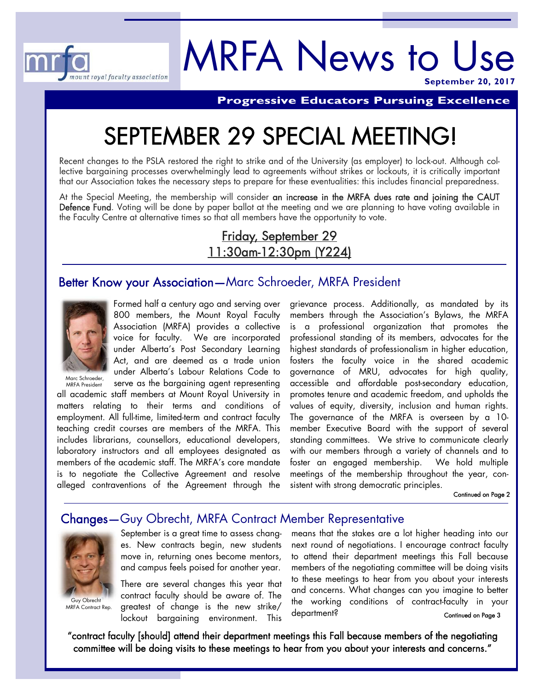

# MRFA News to Use **September 20, 2017**

**Progressive Educators Pursuing Excellence** 

# SEPTEMBER 29 SPECIAL MEETING!

Recent changes to the PSLA restored the right to strike and of the University (as employer) to lock-out. Although collective bargaining processes overwhelmingly lead to agreements without strikes or lockouts, it is critically important that our Association takes the necessary steps to prepare for these eventualities: this includes financial preparedness.

At the Special Meeting, the membership will consider an increase in the MRFA dues rate and joining the CAUT Defence Fund. Voting will be done by paper ballot at the meeting and we are planning to have voting available in the Faculty Centre at alternative times so that all members have the opportunity to vote.

# Friday, September 29 11:30am-12:30pm (Y224)

# Better Know your Association—Marc Schroeder, MRFA President



Formed half a century ago and serving over 800 members, the Mount Royal Faculty Association (MRFA) provides a collective voice for faculty. We are incorporated under Alberta's Post Secondary Learning Act, and are deemed as a trade union under Alberta's Labour Relations Code to serve as the bargaining agent representing

Marc Schroeder, MRFA President

all academic staff members at Mount Royal University in matters relating to their terms and conditions of employment. All full-time, limited-term and contract faculty teaching credit courses are members of the MRFA. This includes librarians, counsellors, educational developers, laboratory instructors and all employees designated as members of the academic staff. The MRFA's core mandate is to negotiate the Collective Agreement and resolve alleged contraventions of the Agreement through the

grievance process. Additionally, as mandated by its members through the Association's Bylaws, the MRFA is a professional organization that promotes the professional standing of its members, advocates for the highest standards of professionalism in higher education, fosters the faculty voice in the shared academic governance of MRU, advocates for high quality, accessible and affordable post-secondary education, promotes tenure and academic freedom, and upholds the values of equity, diversity, inclusion and human rights. The governance of the MRFA is overseen by a 10 member Executive Board with the support of several standing committees. We strive to communicate clearly with our members through a variety of channels and to foster an engaged membership. We hold multiple meetings of the membership throughout the year, consistent with strong democratic principles.

Continued on Page 2

# Changes—Guy Obrecht, MRFA Contract Member Representative



Guy Obrecht MRFA Contract Rep.

September is a great time to assess changes. New contracts begin, new students move in, returning ones become mentors, and campus feels poised for another year.

There are several changes this year that contract faculty should be aware of. The greatest of change is the new strike/ lockout bargaining environment. This means that the stakes are a lot higher heading into our next round of negotiations. I encourage contract faculty to attend their department meetings this Fall because members of the negotiating committee will be doing visits to these meetings to hear from you about your interests and concerns. What changes can you imagine to better the working conditions of contract-faculty in your department? Continued on Page 3

"contract faculty [should] attend their department meetings this Fall because members of the negotiating committee will be doing visits to these meetings to hear from you about your interests and concerns."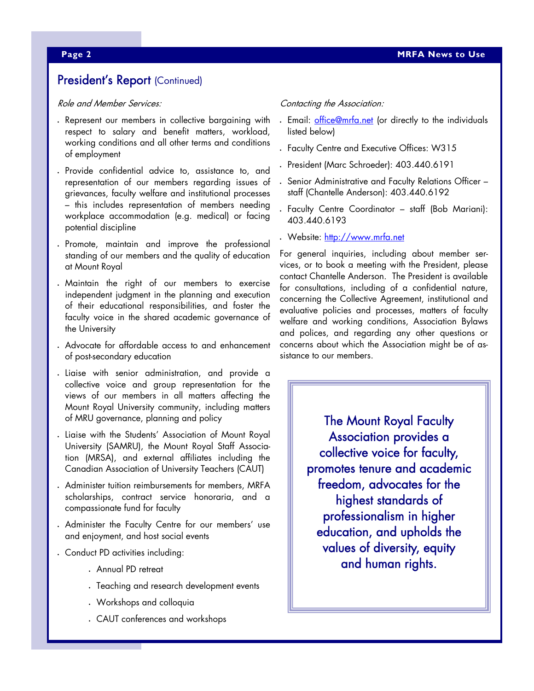# President's Report (Continued)

Role and Member Services:

- Represent our members in collective bargaining with respect to salary and benefit matters, workload, working conditions and all other terms and conditions of employment
- Provide confidential advice to, assistance to, and representation of our members regarding issues of grievances, faculty welfare and institutional processes – this includes representation of members needing workplace accommodation (e.g. medical) or facing potential discipline
- Promote, maintain and improve the professional standing of our members and the quality of education at Mount Royal
- Maintain the right of our members to exercise independent judgment in the planning and execution of their educational responsibilities, and foster the faculty voice in the shared academic governance of the University
- Advocate for affordable access to and enhancement of post-secondary education
- Liaise with senior administration, and provide a collective voice and group representation for the views of our members in all matters affecting the Mount Royal University community, including matters of MRU governance, planning and policy
- Liaise with the Students' Association of Mount Royal University (SAMRU), the Mount Royal Staff Association (MRSA), and external affiliates including the Canadian Association of University Teachers (CAUT)
- Administer tuition reimbursements for members, MRFA scholarships, contract service honoraria, and a compassionate fund for faculty
- Administer the Faculty Centre for our members' use and enjoyment, and host social events
- Conduct PD activities including:
	- Annual PD retreat
	- Teaching and research development events
	- Workshops and colloquia
	- CAUT conferences and workshops

#### Contacting the Association:

- . Email: office@mrfa.net (or directly to the individuals listed below)
- Faculty Centre and Executive Offices: W315
- President (Marc Schroeder): 403.440.6191
- Senior Administrative and Faculty Relations Officer staff (Chantelle Anderson): 403.440.6192
- Faculty Centre Coordinator staff (Bob Mariani): 403.440.6193
- Website: http://www.mrfa.net

For general inquiries, including about member services, or to book a meeting with the President, please contact Chantelle Anderson. The President is available for consultations, including of a confidential nature, concerning the Collective Agreement, institutional and evaluative policies and processes, matters of faculty welfare and working conditions, Association Bylaws and polices, and regarding any other questions or concerns about which the Association might be of assistance to our members.

> The Mount Royal Faculty Association provides a collective voice for faculty, promotes tenure and academic freedom, advocates for the highest standards of professionalism in higher education, and upholds the values of diversity, equity and human rights.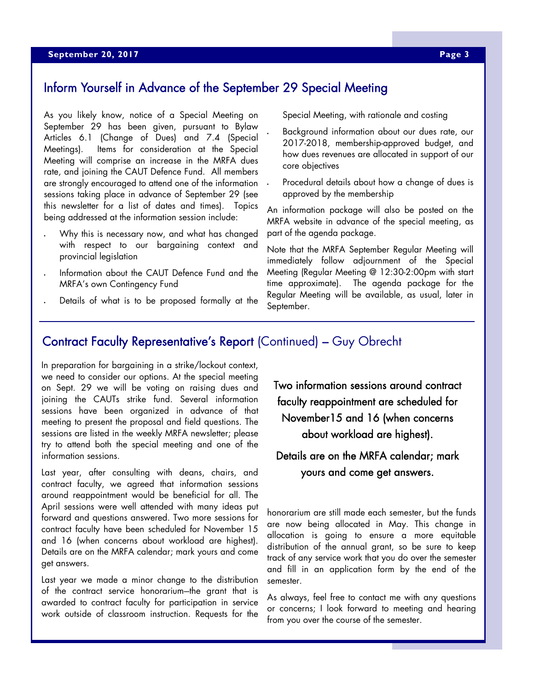# Inform Yourself in Advance of the September 29 Special Meeting

As you likely know, notice of a Special Meeting on September 29 has been given, pursuant to Bylaw Articles 6.1 (Change of Dues) and 7.4 (Special Meetings). Items for consideration at the Special Meeting will comprise an increase in the MRFA dues rate, and joining the CAUT Defence Fund. All members are strongly encouraged to attend one of the information sessions taking place in advance of September 29 (see this newsletter for a list of dates and times). Topics being addressed at the information session include:

- Why this is necessary now, and what has changed with respect to our bargaining context and provincial legislation
- Information about the CAUT Defence Fund and the MRFA's own Contingency Fund
- Details of what is to be proposed formally at the

Special Meeting, with rationale and costing

- Background information about our dues rate, our 2017-2018, membership-approved budget, and how dues revenues are allocated in support of our core objectives
- Procedural details about how a change of dues is approved by the membership

An information package will also be posted on the MRFA website in advance of the special meeting, as part of the agenda package.

Note that the MRFA September Regular Meeting will immediately follow adjournment of the Special Meeting (Regular Meeting @ 12:30-2:00pm with start time approximate). The agenda package for the Regular Meeting will be available, as usual, later in September.

# Contract Faculty Representative's Report (Continued) – Guy Obrecht

In preparation for bargaining in a strike/lockout context, we need to consider our options. At the special meeting on Sept. 29 we will be voting on raising dues and joining the CAUTs strike fund. Several information sessions have been organized in advance of that meeting to present the proposal and field questions. The sessions are listed in the weekly MRFA newsletter; please try to attend both the special meeting and one of the information sessions.

Last year, after consulting with deans, chairs, and contract faculty, we agreed that information sessions around reappointment would be beneficial for all. The April sessions were well attended with many ideas put forward and questions answered. Two more sessions for contract faculty have been scheduled for November 15 and 16 (when concerns about workload are highest). Details are on the MRFA calendar; mark yours and come get answers.

Last year we made a minor change to the distribution of the contract service honorarium-the grant that is awarded to contract faculty for participation in service work outside of classroom instruction. Requests for the Two information sessions around contract faculty reappointment are scheduled for November15 and 16 (when concerns about workload are highest).

Details are on the MRFA calendar; mark yours and come get answers.

honorarium are still made each semester, but the funds are now being allocated in May. This change in allocation is going to ensure a more equitable distribution of the annual grant, so be sure to keep track of any service work that you do over the semester and fill in an application form by the end of the semester.

As always, feel free to contact me with any questions or concerns; I look forward to meeting and hearing from you over the course of the semester.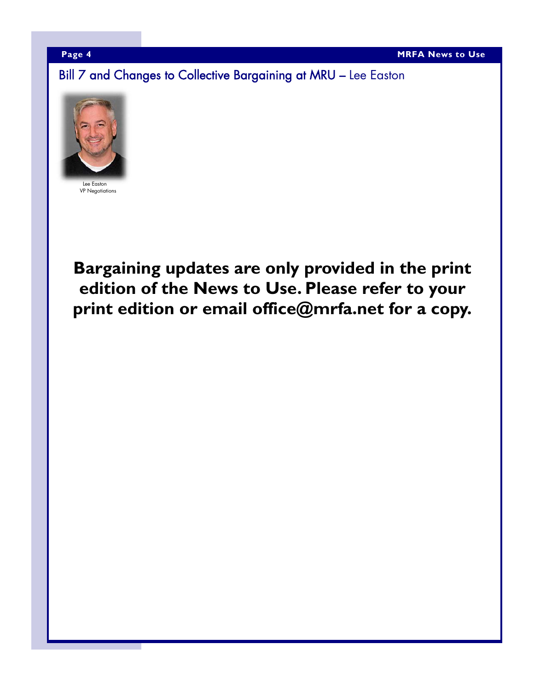Bill 7 and Changes to Collective Bargaining at MRU – Lee Easton



VP Negotiations

**Bargaining updates are only provided in the print edition of the News to Use. Please refer to your print edition or email office@mrfa.net for a copy.**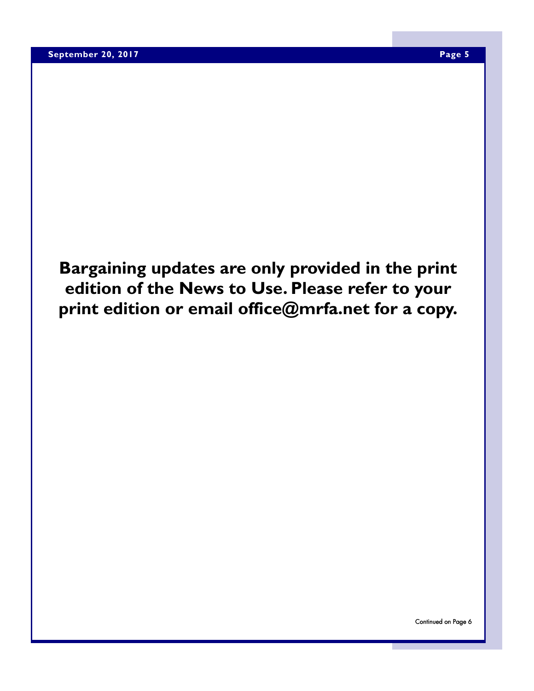**Bargaining updates are only provided in the print edition of the News to Use. Please refer to your print edition or email office@mrfa.net for a copy.**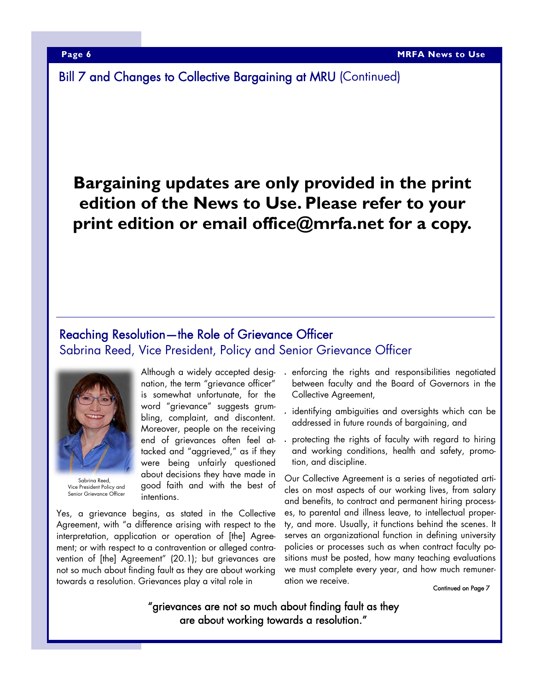Bill 7 and Changes to Collective Bargaining at MRU (Continued)

# **Bargaining updates are only provided in the print edition of the News to Use. Please refer to your print edition or email office@mrfa.net for a copy.**

# Reaching Resolution—the Role of Grievance Officer Sabrina Reed, Vice President, Policy and Senior Grievance Officer



Sabrina Reed, Vice President Policy and Senior Grievance Officer

Although a widely accepted designation, the term "grievance officer" is somewhat unfortunate, for the word "grievance" suggests grumbling, complaint, and discontent. Moreover, people on the receiving end of grievances often feel attacked and "aggrieved," as if they were being unfairly questioned about decisions they have made in good faith and with the best of intentions.

Yes, a grievance begins, as stated in the Collective Agreement, with "a difference arising with respect to the interpretation, application or operation of [the] Agreement; or with respect to a contravention or alleged contravention of [the] Agreement" (20.1); but grievances are not so much about finding fault as they are about working towards a resolution. Grievances play a vital role in

- enforcing the rights and responsibilities negotiated between faculty and the Board of Governors in the Collective Agreement,
- identifying ambiguities and oversights which can be addressed in future rounds of bargaining, and
- protecting the rights of faculty with regard to hiring and working conditions, health and safety, promotion, and discipline.

Our Collective Agreement is a series of negotiated articles on most aspects of our working lives, from salary and benefits, to contract and permanent hiring processes, to parental and illness leave, to intellectual property, and more. Usually, it functions behind the scenes. It serves an organizational function in defining university policies or processes such as when contract faculty positions must be posted, how many teaching evaluations we must complete every year, and how much remuneration we receive.

Continued on Page 7

"grievances are not so much about finding fault as they are about working towards a resolution."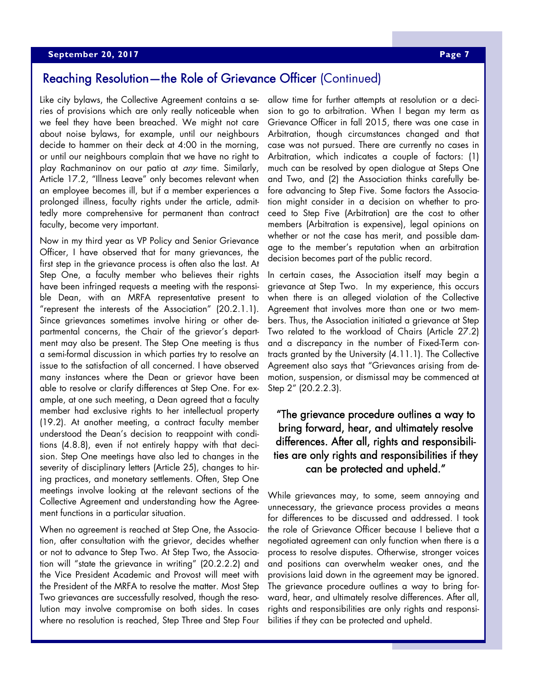### **Applember 20, 2017 Page 7 & September 20, 2017**

# Reaching Resolution—the Role of Grievance Officer (Continued)

Like city bylaws, the Collective Agreement contains a series of provisions which are only really noticeable when we feel they have been breached. We might not care about noise bylaws, for example, until our neighbours decide to hammer on their deck at 4:00 in the morning, or until our neighbours complain that we have no right to play Rachmaninov on our patio at *any* time. Similarly, Article 17.2, "Illness Leave" only becomes relevant when an employee becomes ill, but if a member experiences a prolonged illness, faculty rights under the article, admittedly more comprehensive for permanent than contract faculty, become very important.

Now in my third year as VP Policy and Senior Grievance Officer, I have observed that for many grievances, the first step in the grievance process is often also the last. At Step One, a faculty member who believes their rights have been infringed requests a meeting with the responsible Dean, with an MRFA representative present to "represent the interests of the Association" (20.2.1.1). Since grievances sometimes involve hiring or other departmental concerns, the Chair of the grievor's department may also be present. The Step One meeting is thus a semi-formal discussion in which parties try to resolve an issue to the satisfaction of all concerned. I have observed many instances where the Dean or grievor have been able to resolve or clarify differences at Step One. For example, at one such meeting, a Dean agreed that a faculty member had exclusive rights to her intellectual property (19.2). At another meeting, a contract faculty member understood the Dean's decision to reappoint with conditions (4.8.8), even if not entirely happy with that decision. Step One meetings have also led to changes in the severity of disciplinary letters (Article 25), changes to hiring practices, and monetary settlements. Often, Step One meetings involve looking at the relevant sections of the Collective Agreement and understanding how the Agreement functions in a particular situation.

When no agreement is reached at Step One, the Association, after consultation with the grievor, decides whether or not to advance to Step Two. At Step Two, the Association will "state the grievance in writing" (20.2.2.2) and the Vice President Academic and Provost will meet with the President of the MRFA to resolve the matter. Most Step Two grievances are successfully resolved, though the resolution may involve compromise on both sides. In cases where no resolution is reached, Step Three and Step Four

allow time for further attempts at resolution or a decision to go to arbitration. When I began my term as Grievance Officer in fall 2015, there was one case in Arbitration, though circumstances changed and that case was not pursued. There are currently no cases in Arbitration, which indicates a couple of factors: (1) much can be resolved by open dialogue at Steps One and Two, and (2) the Association thinks carefully before advancing to Step Five. Some factors the Association might consider in a decision on whether to proceed to Step Five (Arbitration) are the cost to other members (Arbitration is expensive), legal opinions on whether or not the case has merit, and possible damage to the member's reputation when an arbitration decision becomes part of the public record.

In certain cases, the Association itself may begin a grievance at Step Two. In my experience, this occurs when there is an alleged violation of the Collective Agreement that involves more than one or two members. Thus, the Association initiated a grievance at Step Two related to the workload of Chairs (Article 27.2) and a discrepancy in the number of Fixed-Term contracts granted by the University (4.11.1). The Collective Agreement also says that "Grievances arising from demotion, suspension, or dismissal may be commenced at Step 2" (20.2.2.3).

# "The grievance procedure outlines a way to bring forward, hear, and ultimately resolve differences. After all, rights and responsibilities are only rights and responsibilities if they can be protected and upheld."

While grievances may, to some, seem annoying and unnecessary, the grievance process provides a means for differences to be discussed and addressed. I took the role of Grievance Officer because I believe that a negotiated agreement can only function when there is a process to resolve disputes. Otherwise, stronger voices and positions can overwhelm weaker ones, and the provisions laid down in the agreement may be ignored. The grievance procedure outlines a way to bring forward, hear, and ultimately resolve differences. After all, rights and responsibilities are only rights and responsibilities if they can be protected and upheld.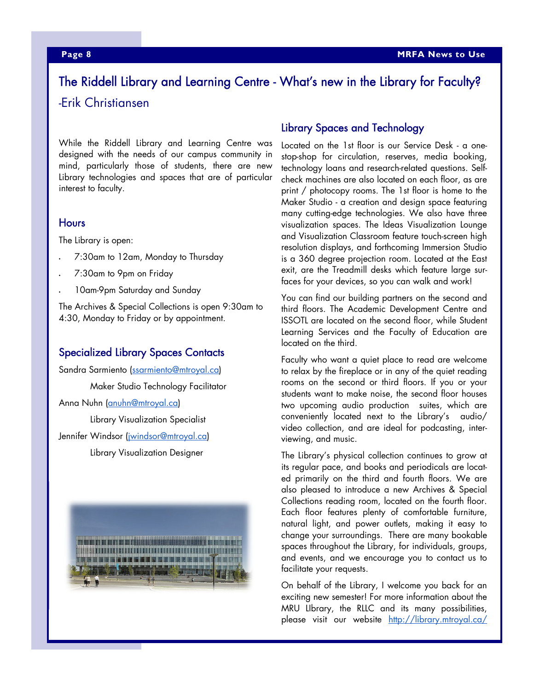# The Riddell Library and Learning Centre - What's new in the Library for Faculty? -Erik Christiansen

While the Riddell Library and Learning Centre was designed with the needs of our campus community in mind, particularly those of students, there are new Library technologies and spaces that are of particular interest to faculty.

### **Hours**

The Library is open:

- 7:30am to 12am, Monday to Thursday
- 7:30am to 9pm on Friday
- 10am-9pm Saturday and Sunday

The Archives & Special Collections is open 9:30am to 4:30, Monday to Friday or by appointment.

# Specialized Library Spaces Contacts

Sandra Sarmiento (ssarmiento@mtroyal.ca) Maker Studio Technology Facilitator Anna Nuhn (anuhn@mtroyal.ca) Library Visualization Specialist Jennifer Windsor (jwindsor@mtroyal.ca) Library Visualization Designer



## Library Spaces and Technology

Located on the 1st floor is our Service Desk - a onestop-shop for circulation, reserves, media booking, technology loans and research-related questions. Selfcheck machines are also located on each floor, as are print / photocopy rooms. The 1st floor is home to the Maker Studio - a creation and design space featuring many cutting-edge technologies. We also have three visualization spaces. The Ideas Visualization Lounge and Visualization Classroom feature touch-screen high resolution displays, and forthcoming Immersion Studio is a 360 degree projection room. Located at the East exit, are the Treadmill desks which feature large surfaces for your devices, so you can walk and work!

You can find our building partners on the second and third floors. The Academic Development Centre and ISSOTL are located on the second floor, while Student Learning Services and the Faculty of Education are located on the third.

Faculty who want a quiet place to read are welcome to relax by the fireplace or in any of the quiet reading rooms on the second or third floors. If you or your students want to make noise, the second floor houses two upcoming audio production suites, which are conveniently located next to the Library's audio/ video collection, and are ideal for podcasting, interviewing, and music.

The Library's physical collection continues to grow at its regular pace, and books and periodicals are located primarily on the third and fourth floors. We are also pleased to introduce a new Archives & Special Collections reading room, located on the fourth floor. Each floor features plenty of comfortable furniture, natural light, and power outlets, making it easy to change your surroundings. There are many bookable spaces throughout the Library, for individuals, groups, and events, and we encourage you to contact us to facilitate your requests.

On behalf of the Library, I welcome you back for an exciting new semester! For more information about the MRU LIbrary, the RLLC and its many possibilities, please visit our website http://library.mtroyal.ca/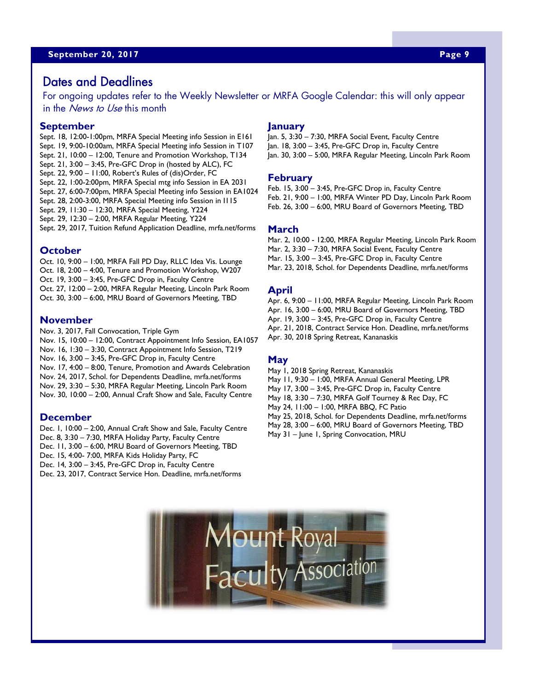# Dates and Deadlines

For ongoing updates refer to the Weekly Newsletter or MRFA Google Calendar: this will only appear in the *News to Use* this month

#### **September**

Sept. 18, 12:00-1:00pm, MRFA Special Meeting info Session in E161 Sept. 19, 9:00-10:00am, MRFA Special Meeting info Session in T107 Sept. 21, 10:00 – 12:00, Tenure and Promotion Workshop, T134 Sept. 21, 3:00 – 3:45, Pre-GFC Drop in (hosted by ALC), FC Sept. 22, 9:00 – 11:00, Robert's Rules of (dis)Order, FC Sept. 22, 1:00-2:00pm, MRFA Special mtg info Session in EA 2031 Sept. 27, 6:00-7:00pm, MRFA Special Meeting info Session in EA1024 Sept. 28, 2:00-3:00, MRFA Special Meeting info Session in I115 Sept. 29, 11:30 – 12:30, MRFA Special Meeting, Y224 Sept. 29, 12:30 – 2:00, MRFA Regular Meeting, Y224 Sept. 29, 2017, Tuition Refund Application Deadline, mrfa.net/forms

#### **October**

Oct. 10, 9:00 – 1:00, MRFA Fall PD Day, RLLC Idea Vis. Lounge Oct. 18, 2:00 – 4:00, Tenure and Promotion Workshop, W207 Oct. 19, 3:00 – 3:45, Pre-GFC Drop in, Faculty Centre Oct. 27, 12:00 – 2:00, MRFA Regular Meeting, Lincoln Park Room Oct. 30, 3:00 – 6:00, MRU Board of Governors Meeting, TBD

#### **November**

Nov. 3, 2017, Fall Convocation, Triple Gym Nov. 15, 10:00 – 12:00, Contract Appointment Info Session, EA1057 Nov. 16, 1:30 – 3:30, Contract Appointment Info Session, T219 Nov. 16, 3:00 – 3:45, Pre-GFC Drop in, Faculty Centre Nov. 17, 4:00 – 8:00, Tenure, Promotion and Awards Celebration Nov. 24, 2017, Schol. for Dependents Deadline, mrfa.net/forms Nov. 29, 3:30 – 5:30, MRFA Regular Meeting, Lincoln Park Room Nov. 30, 10:00 – 2:00, Annual Craft Show and Sale, Faculty Centre

#### **December**

Dec. 1, 10:00 – 2:00, Annual Craft Show and Sale, Faculty Centre Dec. 8, 3:30 – 7:30, MRFA Holiday Party, Faculty Centre Dec. 11, 3:00 – 6:00, MRU Board of Governors Meeting, TBD Dec. 15, 4:00- 7:00, MRFA Kids Holiday Party, FC Dec. 14, 3:00 – 3:45, Pre-GFC Drop in, Faculty Centre Dec. 23, 2017, Contract Service Hon. Deadline, mrfa.net/forms

#### **January**

Jan. 5, 3:30 – 7:30, MRFA Social Event, Faculty Centre Jan. 18, 3:00 – 3:45, Pre-GFC Drop in, Faculty Centre Jan. 30, 3:00 – 5:00, MRFA Regular Meeting, Lincoln Park Room

#### **February**

Feb. 15, 3:00 – 3:45, Pre-GFC Drop in, Faculty Centre Feb. 21, 9:00 – 1:00, MRFA Winter PD Day, Lincoln Park Room Feb. 26, 3:00 – 6:00, MRU Board of Governors Meeting, TBD

#### **March**

Mar. 2, 10:00 - 12:00, MRFA Regular Meeting, Lincoln Park Room Mar. 2, 3:30 – 7:30, MRFA Social Event, Faculty Centre Mar. 15, 3:00 – 3:45, Pre-GFC Drop in, Faculty Centre Mar. 23, 2018, Schol. for Dependents Deadline, mrfa.net/forms

#### **April**

Apr. 6, 9:00 – 11:00, MRFA Regular Meeting, Lincoln Park Room Apr. 16, 3:00 – 6:00, MRU Board of Governors Meeting, TBD Apr. 19, 3:00 – 3:45, Pre-GFC Drop in, Faculty Centre Apr. 21, 2018, Contract Service Hon. Deadline, mrfa.net/forms Apr. 30, 2018 Spring Retreat, Kananaskis

### **May**

May 1, 2018 Spring Retreat, Kananaskis May 11, 9:30 – 1:00, MRFA Annual General Meeting, LPR May 17, 3:00 – 3:45, Pre-GFC Drop in, Faculty Centre May 18, 3:30 – 7:30, MRFA Golf Tourney & Rec Day, FC May 24, 11:00 – 1:00, MRFA BBQ, FC Patio May 25, 2018, Schol. for Dependents Deadline, mrfa.net/forms May 28, 3:00 – 6:00, MRU Board of Governors Meeting, TBD

May 31 – June 1, Spring Convocation, MRU